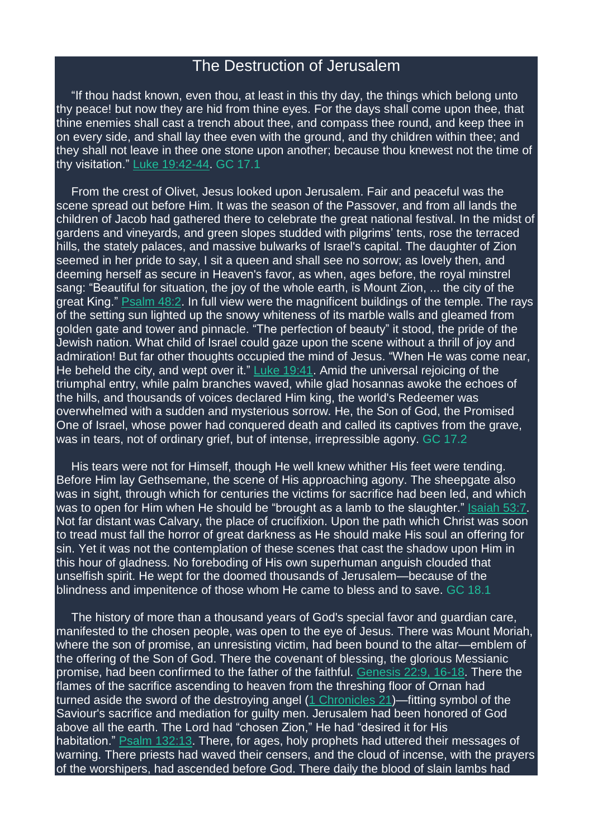## The Destruction of Jerusalem

"If thou hadst known, even thou, at least in this thy day, the things which belong unto thy peace! but now they are hid from thine eyes. For the days shall come upon thee, that thine enemies shall cast a trench about thee, and compass thee round, and keep thee in on every side, and shall lay thee even with the ground, and thy children within thee; and they shall not leave in thee one stone upon another; because thou knewest not the time of thy visitation." Luke [19:42-44.](https://m.egwwritings.org/en/book/1965.52583#52583) GC 17.1

From the crest of Olivet, Jesus looked upon Jerusalem. Fair and peaceful was the scene spread out before Him. It was the season of the Passover, and from all lands the children of Jacob had gathered there to celebrate the great national festival. In the midst of gardens and vineyards, and green slopes studded with pilgrims' tents, rose the terraced hills, the stately palaces, and massive bulwarks of Israel's capital. The daughter of Zion seemed in her pride to say, I sit a queen and shall see no sorrow; as lovely then, and deeming herself as secure in Heaven's favor, as when, ages before, the royal minstrel sang: "Beautiful for situation, the joy of the whole earth, is Mount Zion, ... the city of the great King." **[Psalm](https://m.egwwritings.org/en/book/1965.29820#29820) 48:2. In full view were the magnificent buildings of the temple. The rays** of the setting sun lighted up the snowy whiteness of its marble walls and gleamed from golden gate and tower and pinnacle. "The perfection of beauty" it stood, the pride of the Jewish nation. What child of Israel could gaze upon the scene without a thrill of joy and admiration! But far other thoughts occupied the mind of Jesus. "When He was come near, He beheld the city, and wept over it." Luke [19:41.](https://m.egwwritings.org/en/book/1965.52581#52581) Amid the universal rejoicing of the triumphal entry, while palm branches waved, while glad hosannas awoke the echoes of the hills, and thousands of voices declared Him king, the world's Redeemer was overwhelmed with a sudden and mysterious sorrow. He, the Son of God, the Promised One of Israel, whose power had conquered death and called its captives from the grave, was in tears, not of ordinary grief, but of intense, irrepressible agony. GC 17.2

His tears were not for Himself, though He well knew whither His feet were tending. Before Him lay Gethsemane, the scene of His approaching agony. The sheepgate also was in sight, through which for centuries the victims for sacrifice had been led, and which was to open for Him when He should be "brought as a lamb to the slaughter." [Isaiah](https://m.egwwritings.org/en/book/1965.38194#38194) 53:7. Not far distant was Calvary, the place of crucifixion. Upon the path which Christ was soon to tread must fall the horror of great darkness as He should make His soul an offering for sin. Yet it was not the contemplation of these scenes that cast the shadow upon Him in this hour of gladness. No foreboding of His own superhuman anguish clouded that unselfish spirit. He wept for the doomed thousands of Jerusalem—because of the blindness and impenitence of those whom He came to bless and to save. GC 18.1

The history of more than a thousand years of God's special favor and guardian care, manifested to the chosen people, was open to the eye of Jesus. There was Mount Moriah, where the son of promise, an unresisting victim, had been bound to the altar—emblem of the offering of the Son of God. There the covenant of blessing, the glorious Messianic promise, had been confirmed to the father of the faithful. [Genesis](https://m.egwwritings.org/en/book/1965.1138#1138) 22:9, 16-18. There the flames of the sacrifice ascending to heaven from the threshing floor of Ornan had turned aside the sword of the destroying angel (1 [Chronicles](https://m.egwwritings.org/en/book/1965.22245#22245) 21)—fitting symbol of the Saviour's sacrifice and mediation for guilty men. Jerusalem had been honored of God above all the earth. The Lord had "chosen Zion," He had "desired it for His habitation." **Psalm [132:13.](https://m.egwwritings.org/en/book/1965.32960#32960)** There, for ages, holy prophets had uttered their messages of warning. There priests had waved their censers, and the cloud of incense, with the prayers of the worshipers, had ascended before God. There daily the blood of slain lambs had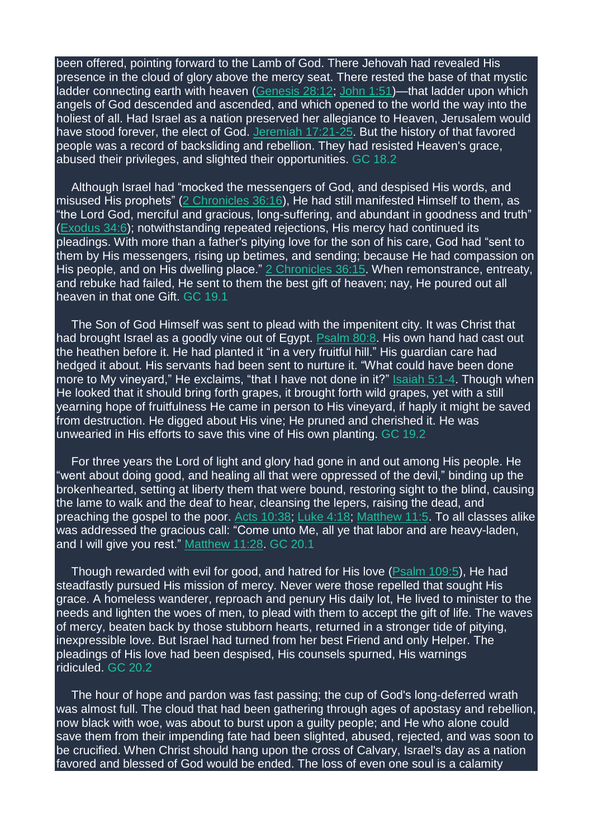been offered, pointing forward to the Lamb of God. There Jehovah had revealed His presence in the cloud of glory above the mercy seat. There rested the base of that mystic ladder connecting earth with heaven [\(Genesis](https://m.egwwritings.org/en/book/1965.1602#1602) 28:12; [John](https://m.egwwritings.org/en/book/1965.53234#53234) 1:51)—that ladder upon which angels of God descended and ascended, and which opened to the world the way into the holiest of all. Had Israel as a nation preserved her allegiance to Heaven, Jerusalem would have stood forever, the elect of God. [Jeremiah](https://m.egwwritings.org/en/book/1965.39545#39545) 17:21-25. But the history of that favored people was a record of backsliding and rebellion. They had resisted Heaven's grace, abused their privileges, and slighted their opportunities. GC 18.2

Although Israel had "mocked the messengers of God, and despised His words, and misused His prophets" (2 [Chronicles](https://m.egwwritings.org/en/book/1965.24438#24438) 36:16), He had still manifested Himself to them, as "the Lord God, merciful and gracious, long-suffering, and abundant in goodness and truth" [\(Exodus](https://m.egwwritings.org/en/book/1965.5093#5093) 34:6); notwithstanding repeated rejections, His mercy had continued its pleadings. With more than a father's pitying love for the son of his care, God had "sent to them by His messengers, rising up betimes, and sending; because He had compassion on His people, and on His dwelling place." 2 [Chronicles](https://m.egwwritings.org/en/book/1965.24436#24436) 36:15. When remonstrance, entreaty, and rebuke had failed, He sent to them the best gift of heaven; nay, He poured out all heaven in that one Gift. GC 19.1

The Son of God Himself was sent to plead with the impenitent city. It was Christ that had brought Israel as a goodly vine out of Egypt. [Psalm](https://m.egwwritings.org/en/book/1965.30992#30992) 80:8. His own hand had cast out the heathen before it. He had planted it "in a very fruitful hill." His guardian care had hedged it about. His servants had been sent to nurture it. "What could have been done more to My vineyard," He exclaims, "that I have not done in it?" [Isaiah](https://m.egwwritings.org/en/book/1965.36190#36190) 5:1-4. Though when He looked that it should bring forth grapes, it brought forth wild grapes, yet with a still yearning hope of fruitfulness He came in person to His vineyard, if haply it might be saved from destruction. He digged about His vine; He pruned and cherished it. He was unwearied in His efforts to save this vine of His own planting. GC 19.2

For three years the Lord of light and glory had gone in and out among His people. He "went about doing good, and healing all that were oppressed of the devil," binding up the brokenhearted, setting at liberty them that were bound, restoring sight to the blind, causing the lame to walk and the deaf to hear, cleansing the lepers, raising the dead, and preaching the gospel to the poor. Acts [10:38;](https://m.egwwritings.org/en/book/1965.55669#55669) [Luke](https://m.egwwritings.org/en/book/1965.51184#51184) 4:18; [Matthew](https://m.egwwritings.org/en/book/1965.47911#47911) 11:5. To all classes alike was addressed the gracious call: "Come unto Me, all ye that labor and are heavy-laden, and I will give you rest." [Matthew](https://m.egwwritings.org/en/book/1965.47957#47957) 11:28. GC 20.1

Though rewarded with evil for good, and hatred for His love [\(Psalm](https://m.egwwritings.org/en/book/1965.32129#32129) 109:5), He had steadfastly pursued His mission of mercy. Never were those repelled that sought His grace. A homeless wanderer, reproach and penury His daily lot, He lived to minister to the needs and lighten the woes of men, to plead with them to accept the gift of life. The waves of mercy, beaten back by those stubborn hearts, returned in a stronger tide of pitying, inexpressible love. But Israel had turned from her best Friend and only Helper. The pleadings of His love had been despised, His counsels spurned, His warnings ridiculed. GC 20.2

The hour of hope and pardon was fast passing; the cup of God's long-deferred wrath was almost full. The cloud that had been gathering through ages of apostasy and rebellion, now black with woe, was about to burst upon a guilty people; and He who alone could save them from their impending fate had been slighted, abused, rejected, and was soon to be crucified. When Christ should hang upon the cross of Calvary, Israel's day as a nation favored and blessed of God would be ended. The loss of even one soul is a calamity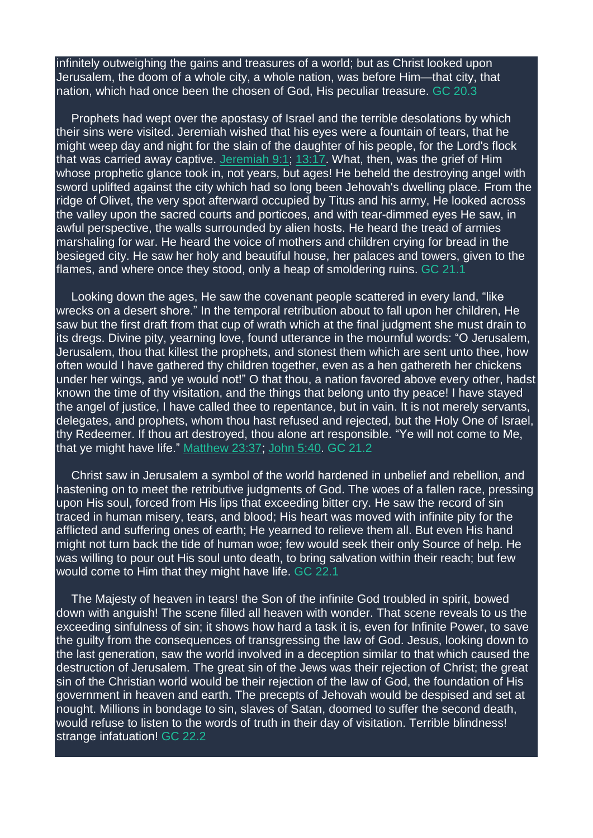infinitely outweighing the gains and treasures of a world; but as Christ looked upon Jerusalem, the doom of a whole city, a whole nation, was before Him—that city, that nation, which had once been the chosen of God, His peculiar treasure. GC 20.3

Prophets had wept over the apostasy of Israel and the terrible desolations by which their sins were visited. Jeremiah wished that his eyes were a fountain of tears, that he might weep day and night for the slain of the daughter of his people, for the Lord's flock that was carried away captive. [Jeremiah](https://m.egwwritings.org/en/book/1965.39133#39133) 9:1; [13:17.](https://m.egwwritings.org/en/book/1965.39351#39351) What, then, was the grief of Him whose prophetic glance took in, not years, but ages! He beheld the destroying angel with sword uplifted against the city which had so long been Jehovah's dwelling place. From the ridge of Olivet, the very spot afterward occupied by Titus and his army, He looked across the valley upon the sacred courts and porticoes, and with tear-dimmed eyes He saw, in awful perspective, the walls surrounded by alien hosts. He heard the tread of armies marshaling for war. He heard the voice of mothers and children crying for bread in the besieged city. He saw her holy and beautiful house, her palaces and towers, given to the flames, and where once they stood, only a heap of smoldering ruins. GC 21.1

Looking down the ages, He saw the covenant people scattered in every land, "like wrecks on a desert shore." In the temporal retribution about to fall upon her children, He saw but the first draft from that cup of wrath which at the final judgment she must drain to its dregs. Divine pity, yearning love, found utterance in the mournful words: "O Jerusalem, Jerusalem, thou that killest the prophets, and stonest them which are sent unto thee, how often would I have gathered thy children together, even as a hen gathereth her chickens under her wings, and ye would not!" O that thou, a nation favored above every other, hadst known the time of thy visitation, and the things that belong unto thy peace! I have stayed the angel of justice, I have called thee to repentance, but in vain. It is not merely servants, delegates, and prophets, whom thou hast refused and rejected, but the Holy One of Israel, thy Redeemer. If thou art destroyed, thou alone art responsible. "Ye will not come to Me, that ye might have life." [Matthew](https://m.egwwritings.org/en/book/1965.48905#48905) 23:37; [John](https://m.egwwritings.org/en/book/1965.53548#53548) 5:40. GC 21.2

Christ saw in Jerusalem a symbol of the world hardened in unbelief and rebellion, and hastening on to meet the retributive judgments of God. The woes of a fallen race, pressing upon His soul, forced from His lips that exceeding bitter cry. He saw the record of sin traced in human misery, tears, and blood; His heart was moved with infinite pity for the afflicted and suffering ones of earth; He yearned to relieve them all. But even His hand might not turn back the tide of human woe; few would seek their only Source of help. He was willing to pour out His soul unto death, to bring salvation within their reach; but few would come to Him that they might have life. GC 22.1

The Majesty of heaven in tears! the Son of the infinite God troubled in spirit, bowed down with anguish! The scene filled all heaven with wonder. That scene reveals to us the exceeding sinfulness of sin; it shows how hard a task it is, even for Infinite Power, to save the guilty from the consequences of transgressing the law of God. Jesus, looking down to the last generation, saw the world involved in a deception similar to that which caused the destruction of Jerusalem. The great sin of the Jews was their rejection of Christ; the great sin of the Christian world would be their rejection of the law of God, the foundation of His government in heaven and earth. The precepts of Jehovah would be despised and set at nought. Millions in bondage to sin, slaves of Satan, doomed to suffer the second death, would refuse to listen to the words of truth in their day of visitation. Terrible blindness! strange infatuation! GC 22.2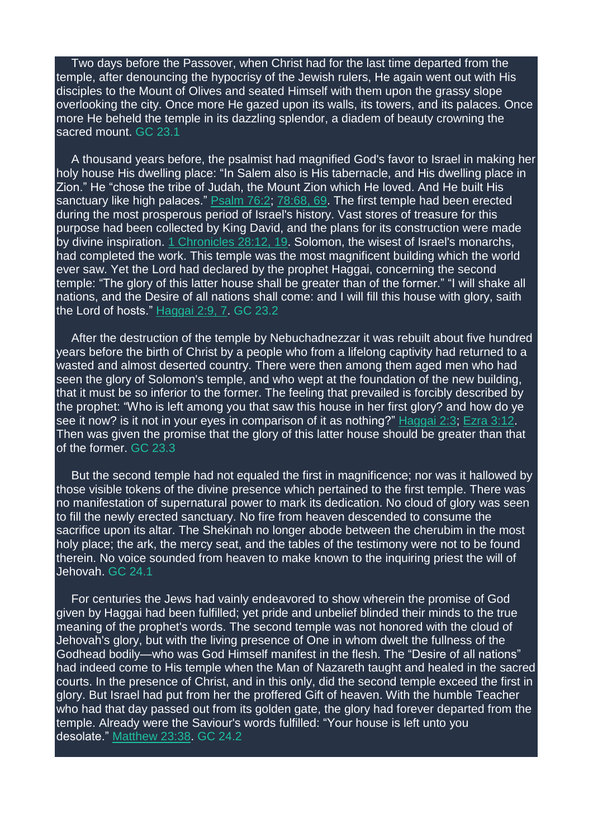Two days before the Passover, when Christ had for the last time departed from the temple, after denouncing the hypocrisy of the Jewish rulers, He again went out with His disciples to the Mount of Olives and seated Himself with them upon the grassy slope overlooking the city. Once more He gazed upon its walls, its towers, and its palaces. Once more He beheld the temple in its dazzling splendor, a diadem of beauty crowning the sacred mount. GC 23.1

A thousand years before, the psalmist had magnified God's favor to Israel in making her holy house His dwelling place: "In Salem also is His tabernacle, and His dwelling place in Zion." He "chose the tribe of Judah, the Mount Zion which He loved. And He built His sanctuary like high palaces." **[Psalm](https://m.egwwritings.org/en/book/1965.30742#30742) 76:2; [78:68,](https://m.egwwritings.org/en/book/1965.30940#30940) 69. The first temple had been erected** during the most prosperous period of Israel's history. Vast stores of treasure for this purpose had been collected by King David, and the plans for its construction were made by divine inspiration. 1 [Chronicles](https://m.egwwritings.org/en/book/1965.22692#22692) 28:12, 19. Solomon, the wisest of Israel's monarchs, had completed the work. This temple was the most magnificent building which the world ever saw. Yet the Lord had declared by the prophet Haggai, concerning the second temple: "The glory of this latter house shall be greater than of the former." "I will shake all nations, and the Desire of all nations shall come: and I will fill this house with glory, saith the Lord of hosts." [Haggai](https://m.egwwritings.org/en/book/1965.46679#46679) 2:9, 7. GC 23.2

After the destruction of the temple by Nebuchadnezzar it was rebuilt about five hundred years before the birth of Christ by a people who from a lifelong captivity had returned to a wasted and almost deserted country. There were then among them aged men who had seen the glory of Solomon's temple, and who wept at the foundation of the new building, that it must be so inferior to the former. The feeling that prevailed is forcibly described by the prophet: "Who is left among you that saw this house in her first glory? and how do ye see it now? is it not in your eyes in comparison of it as nothing?" [Haggai](https://m.egwwritings.org/en/book/1965.46667#46667) 2:3; Ezra [3:12.](https://m.egwwritings.org/en/book/1965.24642#24642) Then was given the promise that the glory of this latter house should be greater than that of the former. GC 23.3

But the second temple had not equaled the first in magnificence; nor was it hallowed by those visible tokens of the divine presence which pertained to the first temple. There was no manifestation of supernatural power to mark its dedication. No cloud of glory was seen to fill the newly erected sanctuary. No fire from heaven descended to consume the sacrifice upon its altar. The Shekinah no longer abode between the cherubim in the most holy place; the ark, the mercy seat, and the tables of the testimony were not to be found therein. No voice sounded from heaven to make known to the inquiring priest the will of Jehovah. GC 24.1

For centuries the Jews had vainly endeavored to show wherein the promise of God given by Haggai had been fulfilled; yet pride and unbelief blinded their minds to the true meaning of the prophet's words. The second temple was not honored with the cloud of Jehovah's glory, but with the living presence of One in whom dwelt the fullness of the Godhead bodily—who was God Himself manifest in the flesh. The "Desire of all nations" had indeed come to His temple when the Man of Nazareth taught and healed in the sacred courts. In the presence of Christ, and in this only, did the second temple exceed the first in glory. But Israel had put from her the proffered Gift of heaven. With the humble Teacher who had that day passed out from its golden gate, the glory had forever departed from the temple. Already were the Saviour's words fulfilled: "Your house is left unto you desolate." [Matthew](https://m.egwwritings.org/en/book/1965.48907#48907) 23:38. GC 24.2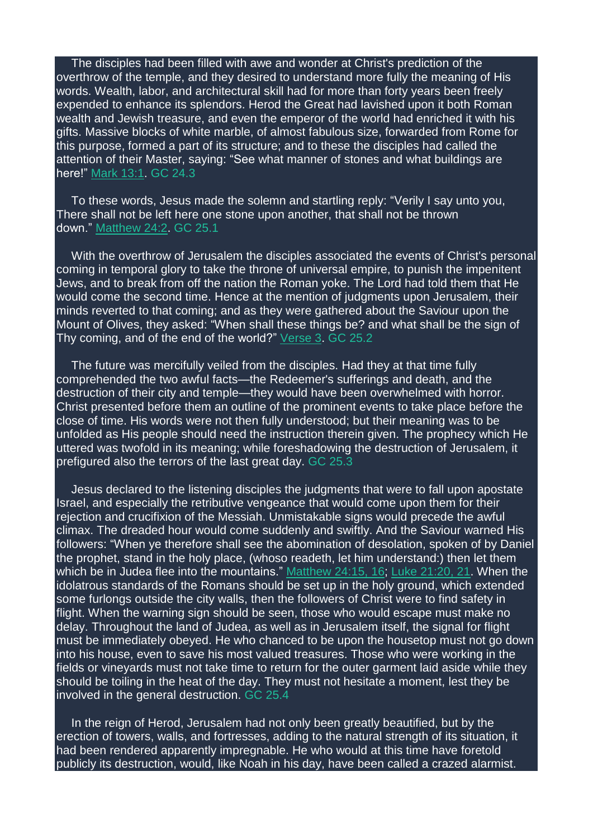The disciples had been filled with awe and wonder at Christ's prediction of the overthrow of the temple, and they desired to understand more fully the meaning of His words. Wealth, labor, and architectural skill had for more than forty years been freely expended to enhance its splendors. Herod the Great had lavished upon it both Roman wealth and Jewish treasure, and even the emperor of the world had enriched it with his gifts. Massive blocks of white marble, of almost fabulous size, forwarded from Rome for this purpose, formed a part of its structure; and to these the disciples had called the attention of their Master, saying: "See what manner of stones and what buildings are here!" [Mark](https://m.egwwritings.org/en/book/1965.50450#50450) 13:1. GC 24.3

To these words, Jesus made the solemn and startling reply: "Verily I say unto you, There shall not be left here one stone upon another, that shall not be thrown down." [Matthew](https://m.egwwritings.org/en/book/1965.48914#48914) 24:2. GC 25.1

With the overthrow of Jerusalem the disciples associated the events of Christ's personal coming in temporal glory to take the throne of universal empire, to punish the impenitent Jews, and to break from off the nation the Roman yoke. The Lord had told them that He would come the second time. Hence at the mention of judgments upon Jerusalem, their minds reverted to that coming; and as they were gathered about the Saviour upon the Mount of Olives, they asked: "When shall these things be? and what shall be the sign of Thy coming, and of the end of the world?" [Verse](https://m.egwwritings.org/en/book/1965.48916#48916) 3. GC 25.2

The future was mercifully veiled from the disciples. Had they at that time fully comprehended the two awful facts—the Redeemer's sufferings and death, and the destruction of their city and temple—they would have been overwhelmed with horror. Christ presented before them an outline of the prominent events to take place before the close of time. His words were not then fully understood; but their meaning was to be unfolded as His people should need the instruction therein given. The prophecy which He uttered was twofold in its meaning; while foreshadowing the destruction of Jerusalem, it prefigured also the terrors of the last great day. GC 25.3

Jesus declared to the listening disciples the judgments that were to fall upon apostate Israel, and especially the retributive vengeance that would come upon them for their rejection and crucifixion of the Messiah. Unmistakable signs would precede the awful climax. The dreaded hour would come suddenly and swiftly. And the Saviour warned His followers: "When ye therefore shall see the abomination of desolation, spoken of by Daniel the prophet, stand in the holy place, (whoso readeth, let him understand:) then let them which be in Judea flee into the mountains." [Matthew](https://m.egwwritings.org/en/book/1965.48940#48940) 24:15, 16; Luke [21:20,](https://m.egwwritings.org/en/book/1965.52731#52731) 21. When the idolatrous standards of the Romans should be set up in the holy ground, which extended some furlongs outside the city walls, then the followers of Christ were to find safety in flight. When the warning sign should be seen, those who would escape must make no delay. Throughout the land of Judea, as well as in Jerusalem itself, the signal for flight must be immediately obeyed. He who chanced to be upon the housetop must not go down into his house, even to save his most valued treasures. Those who were working in the fields or vineyards must not take time to return for the outer garment laid aside while they should be toiling in the heat of the day. They must not hesitate a moment, lest they be involved in the general destruction. GC 25.4

In the reign of Herod, Jerusalem had not only been greatly beautified, but by the erection of towers, walls, and fortresses, adding to the natural strength of its situation, it had been rendered apparently impregnable. He who would at this time have foretold publicly its destruction, would, like Noah in his day, have been called a crazed alarmist.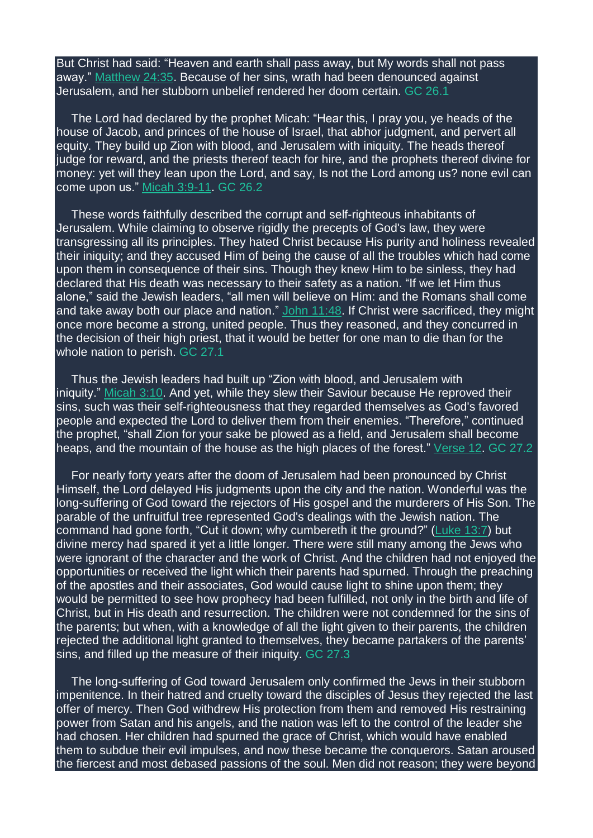But Christ had said: "Heaven and earth shall pass away, but My words shall not pass away." [Matthew](https://m.egwwritings.org/en/book/1965.48980#48980) 24:35. Because of her sins, wrath had been denounced against Jerusalem, and her stubborn unbelief rendered her doom certain. GC 26.1

The Lord had declared by the prophet Micah: "Hear this, I pray you, ye heads of the house of Jacob, and princes of the house of Israel, that abhor judgment, and pervert all equity. They build up Zion with blood, and Jerusalem with iniquity. The heads thereof judge for reward, and the priests thereof teach for hire, and the prophets thereof divine for money: yet will they lean upon the Lord, and say, Is not the Lord among us? none evil can come upon us." Micah [3:9-11.](https://m.egwwritings.org/en/book/1965.46166#46166) GC 26.2

These words faithfully described the corrupt and self-righteous inhabitants of Jerusalem. While claiming to observe rigidly the precepts of God's law, they were transgressing all its principles. They hated Christ because His purity and holiness revealed their iniquity; and they accused Him of being the cause of all the troubles which had come upon them in consequence of their sins. Though they knew Him to be sinless, they had declared that His death was necessary to their safety as a nation. "If we let Him thus alone," said the Jewish leaders, "all men will believe on Him: and the Romans shall come and take away both our place and nation." John [11:48.](https://m.egwwritings.org/en/book/1965.54196#54196) If Christ were sacrificed, they might once more become a strong, united people. Thus they reasoned, and they concurred in the decision of their high priest, that it would be better for one man to die than for the whole nation to perish. GC 27.1

Thus the Jewish leaders had built up "Zion with blood, and Jerusalem with iniquity." [Micah](https://m.egwwritings.org/en/book/1965.46168#46168) 3:10. And yet, while they slew their Saviour because He reproved their sins, such was their self-righteousness that they regarded themselves as God's favored people and expected the Lord to deliver them from their enemies. "Therefore," continued the prophet, "shall Zion for your sake be plowed as a field, and Jerusalem shall become heaps, and the mountain of the house as the high places of the forest." [Verse](https://m.egwwritings.org/en/book/1965.46172#46172) 12. GC 27.2

For nearly forty years after the doom of Jerusalem had been pronounced by Christ Himself, the Lord delayed His judgments upon the city and the nation. Wonderful was the long-suffering of God toward the rejectors of His gospel and the murderers of His Son. The parable of the unfruitful tree represented God's dealings with the Jewish nation. The command had gone forth, "Cut it down; why cumbereth it the ground?" [\(Luke](https://m.egwwritings.org/en/book/1965.52081#52081) 13:7) but divine mercy had spared it yet a little longer. There were still many among the Jews who were ignorant of the character and the work of Christ. And the children had not enjoyed the opportunities or received the light which their parents had spurned. Through the preaching of the apostles and their associates, God would cause light to shine upon them; they would be permitted to see how prophecy had been fulfilled, not only in the birth and life of Christ, but in His death and resurrection. The children were not condemned for the sins of the parents; but when, with a knowledge of all the light given to their parents, the children rejected the additional light granted to themselves, they became partakers of the parents' sins, and filled up the measure of their iniquity. GC 27.3

The long-suffering of God toward Jerusalem only confirmed the Jews in their stubborn impenitence. In their hatred and cruelty toward the disciples of Jesus they rejected the last offer of mercy. Then God withdrew His protection from them and removed His restraining power from Satan and his angels, and the nation was left to the control of the leader she had chosen. Her children had spurned the grace of Christ, which would have enabled them to subdue their evil impulses, and now these became the conquerors. Satan aroused the fiercest and most debased passions of the soul. Men did not reason; they were beyond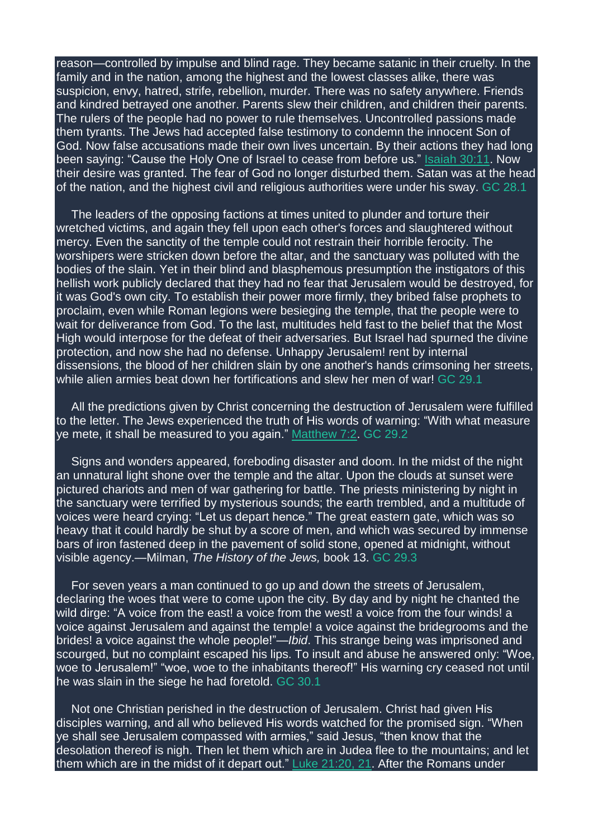reason—controlled by impulse and blind rage. They became satanic in their cruelty. In the family and in the nation, among the highest and the lowest classes alike, there was suspicion, envy, hatred, strife, rebellion, murder. There was no safety anywhere. Friends and kindred betrayed one another. Parents slew their children, and children their parents. The rulers of the people had no power to rule themselves. Uncontrolled passions made them tyrants. The Jews had accepted false testimony to condemn the innocent Son of God. Now false accusations made their own lives uncertain. By their actions they had long been saying: "Cause the Holy One of Israel to cease from before us." Isaiah [30:11.](https://m.egwwritings.org/en/book/1965.37191#37191) Now their desire was granted. The fear of God no longer disturbed them. Satan was at the head of the nation, and the highest civil and religious authorities were under his sway. GC 28.1

The leaders of the opposing factions at times united to plunder and torture their wretched victims, and again they fell upon each other's forces and slaughtered without mercy. Even the sanctity of the temple could not restrain their horrible ferocity. The worshipers were stricken down before the altar, and the sanctuary was polluted with the bodies of the slain. Yet in their blind and blasphemous presumption the instigators of this hellish work publicly declared that they had no fear that Jerusalem would be destroyed, for it was God's own city. To establish their power more firmly, they bribed false prophets to proclaim, even while Roman legions were besieging the temple, that the people were to wait for deliverance from God. To the last, multitudes held fast to the belief that the Most High would interpose for the defeat of their adversaries. But Israel had spurned the divine protection, and now she had no defense. Unhappy Jerusalem! rent by internal dissensions, the blood of her children slain by one another's hands crimsoning her streets, while alien armies beat down her fortifications and slew her men of war! GC 29.1

All the predictions given by Christ concerning the destruction of Jerusalem were fulfilled to the letter. The Jews experienced the truth of His words of warning: "With what measure ye mete, it shall be measured to you again." [Matthew](https://m.egwwritings.org/en/book/1965.47615#47615) 7:2. GC 29.2

Signs and wonders appeared, foreboding disaster and doom. In the midst of the night an unnatural light shone over the temple and the altar. Upon the clouds at sunset were pictured chariots and men of war gathering for battle. The priests ministering by night in the sanctuary were terrified by mysterious sounds; the earth trembled, and a multitude of voices were heard crying: "Let us depart hence." The great eastern gate, which was so heavy that it could hardly be shut by a score of men, and which was secured by immense bars of iron fastened deep in the pavement of solid stone, opened at midnight, without visible agency.—Milman, *The History of the Jews,* book 13. GC 29.3

For seven years a man continued to go up and down the streets of Jerusalem, declaring the woes that were to come upon the city. By day and by night he chanted the wild dirge: "A voice from the east! a voice from the west! a voice from the four winds! a voice against Jerusalem and against the temple! a voice against the bridegrooms and the brides! a voice against the whole people!"—*Ibid*. This strange being was imprisoned and scourged, but no complaint escaped his lips. To insult and abuse he answered only: "Woe, woe to Jerusalem!" "woe, woe to the inhabitants thereof!" His warning cry ceased not until he was slain in the siege he had foretold. GC 30.1

Not one Christian perished in the destruction of Jerusalem. Christ had given His disciples warning, and all who believed His words watched for the promised sign. "When ye shall see Jerusalem compassed with armies," said Jesus, "then know that the desolation thereof is nigh. Then let them which are in Judea flee to the mountains; and let them which are in the midst of it depart out." Luke [21:20,](https://m.egwwritings.org/en/book/1965.52731#52731) 21. After the Romans under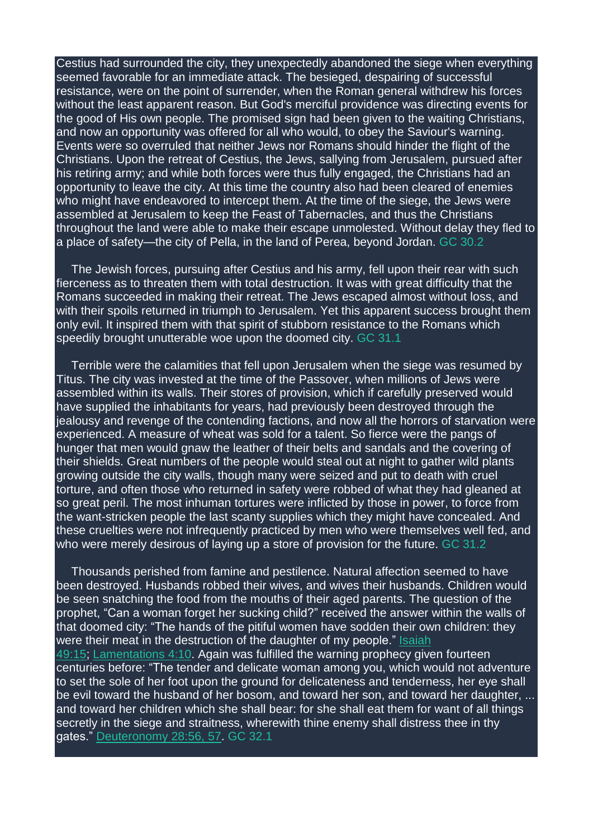Cestius had surrounded the city, they unexpectedly abandoned the siege when everything seemed favorable for an immediate attack. The besieged, despairing of successful resistance, were on the point of surrender, when the Roman general withdrew his forces without the least apparent reason. But God's merciful providence was directing events for the good of His own people. The promised sign had been given to the waiting Christians, and now an opportunity was offered for all who would, to obey the Saviour's warning. Events were so overruled that neither Jews nor Romans should hinder the flight of the Christians. Upon the retreat of Cestius, the Jews, sallying from Jerusalem, pursued after his retiring army; and while both forces were thus fully engaged, the Christians had an opportunity to leave the city. At this time the country also had been cleared of enemies who might have endeavored to intercept them. At the time of the siege, the Jews were assembled at Jerusalem to keep the Feast of Tabernacles, and thus the Christians throughout the land were able to make their escape unmolested. Without delay they fled to a place of safety—the city of Pella, in the land of Perea, beyond Jordan. GC 30.2

The Jewish forces, pursuing after Cestius and his army, fell upon their rear with such fierceness as to threaten them with total destruction. It was with great difficulty that the Romans succeeded in making their retreat. The Jews escaped almost without loss, and with their spoils returned in triumph to Jerusalem. Yet this apparent success brought them only evil. It inspired them with that spirit of stubborn resistance to the Romans which speedily brought unutterable woe upon the doomed city. GC 31.1

Terrible were the calamities that fell upon Jerusalem when the siege was resumed by Titus. The city was invested at the time of the Passover, when millions of Jews were assembled within its walls. Their stores of provision, which if carefully preserved would have supplied the inhabitants for years, had previously been destroyed through the jealousy and revenge of the contending factions, and now all the horrors of starvation were experienced. A measure of wheat was sold for a talent. So fierce were the pangs of hunger that men would gnaw the leather of their belts and sandals and the covering of their shields. Great numbers of the people would steal out at night to gather wild plants growing outside the city walls, though many were seized and put to death with cruel torture, and often those who returned in safety were robbed of what they had gleaned at so great peril. The most inhuman tortures were inflicted by those in power, to force from the want-stricken people the last scanty supplies which they might have concealed. And these cruelties were not infrequently practiced by men who were themselves well fed, and who were merely desirous of laying up a store of provision for the future. GC 31.2

Thousands perished from famine and pestilence. Natural affection seemed to have been destroyed. Husbands robbed their wives, and wives their husbands. Children would be seen snatching the food from the mouths of their aged parents. The question of the prophet, "Can a woman forget her sucking child?" received the answer within the walls of that doomed city: "The hands of the pitiful women have sodden their own children: they were their meat in the destruction of the daughter of my people." [Isaiah](https://m.egwwritings.org/en/book/1965.38056#38056) [49:15;](https://m.egwwritings.org/en/book/1965.38056#38056) [Lamentations](https://m.egwwritings.org/en/book/1965.41689#41689) 4:10. Again was fulfilled the warning prophecy given fourteen centuries before: "The tender and delicate woman among you, which would not adventure to set the sole of her foot upon the ground for delicateness and tenderness, her eye shall be evil toward the husband of her bosom, and toward her son, and toward her daughter, ... and toward her children which she shall bear: for she shall eat them for want of all things secretly in the siege and straitness, wherewith thine enemy shall distress thee in thy gates." [Deuteronomy](https://m.egwwritings.org/en/book/1965.11523#11523) 28:56, 57. GC 32.1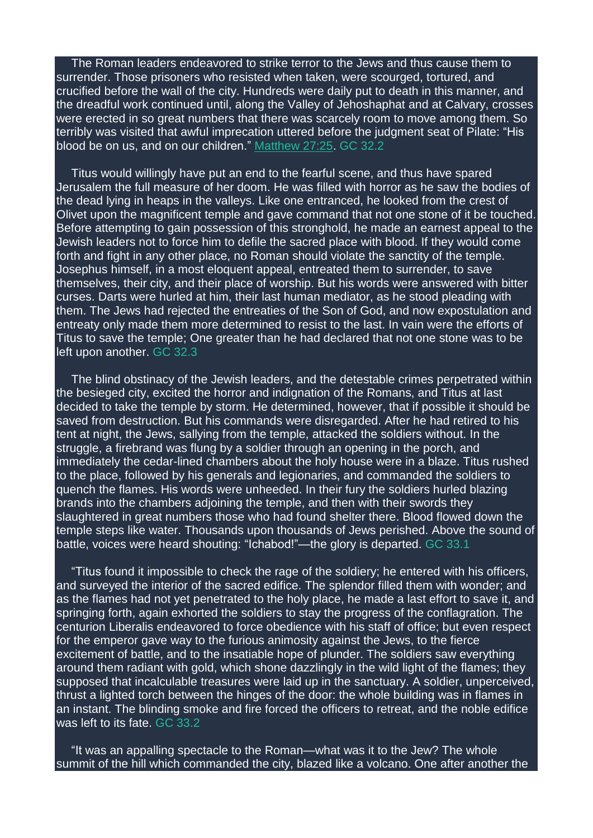The Roman leaders endeavored to strike terror to the Jews and thus cause them to surrender. Those prisoners who resisted when taken, were scourged, tortured, and crucified before the wall of the city. Hundreds were daily put to death in this manner, and the dreadful work continued until, along the Valley of Jehoshaphat and at Calvary, crosses were erected in so great numbers that there was scarcely room to move among them. So terribly was visited that awful imprecation uttered before the judgment seat of Pilate: "His blood be on us, and on our children." [Matthew](https://m.egwwritings.org/en/book/1965.49307#49307) 27:25. GC 32.2

Titus would willingly have put an end to the fearful scene, and thus have spared Jerusalem the full measure of her doom. He was filled with horror as he saw the bodies of the dead lying in heaps in the valleys. Like one entranced, he looked from the crest of Olivet upon the magnificent temple and gave command that not one stone of it be touched. Before attempting to gain possession of this stronghold, he made an earnest appeal to the Jewish leaders not to force him to defile the sacred place with blood. If they would come forth and fight in any other place, no Roman should violate the sanctity of the temple. Josephus himself, in a most eloquent appeal, entreated them to surrender, to save themselves, their city, and their place of worship. But his words were answered with bitter curses. Darts were hurled at him, their last human mediator, as he stood pleading with them. The Jews had rejected the entreaties of the Son of God, and now expostulation and entreaty only made them more determined to resist to the last. In vain were the efforts of Titus to save the temple; One greater than he had declared that not one stone was to be left upon another. GC 32.3

The blind obstinacy of the Jewish leaders, and the detestable crimes perpetrated within the besieged city, excited the horror and indignation of the Romans, and Titus at last decided to take the temple by storm. He determined, however, that if possible it should be saved from destruction. But his commands were disregarded. After he had retired to his tent at night, the Jews, sallying from the temple, attacked the soldiers without. In the struggle, a firebrand was flung by a soldier through an opening in the porch, and immediately the cedar-lined chambers about the holy house were in a blaze. Titus rushed to the place, followed by his generals and legionaries, and commanded the soldiers to quench the flames. His words were unheeded. In their fury the soldiers hurled blazing brands into the chambers adjoining the temple, and then with their swords they slaughtered in great numbers those who had found shelter there. Blood flowed down the temple steps like water. Thousands upon thousands of Jews perished. Above the sound of battle, voices were heard shouting: "Ichabod!"—the glory is departed. GC 33.1

"Titus found it impossible to check the rage of the soldiery; he entered with his officers, and surveyed the interior of the sacred edifice. The splendor filled them with wonder; and as the flames had not yet penetrated to the holy place, he made a last effort to save it, and springing forth, again exhorted the soldiers to stay the progress of the conflagration. The centurion Liberalis endeavored to force obedience with his staff of office; but even respect for the emperor gave way to the furious animosity against the Jews, to the fierce excitement of battle, and to the insatiable hope of plunder. The soldiers saw everything around them radiant with gold, which shone dazzlingly in the wild light of the flames; they supposed that incalculable treasures were laid up in the sanctuary. A soldier, unperceived, thrust a lighted torch between the hinges of the door: the whole building was in flames in an instant. The blinding smoke and fire forced the officers to retreat, and the noble edifice was left to its fate. GC 33.2

"It was an appalling spectacle to the Roman—what was it to the Jew? The whole summit of the hill which commanded the city, blazed like a volcano. One after another the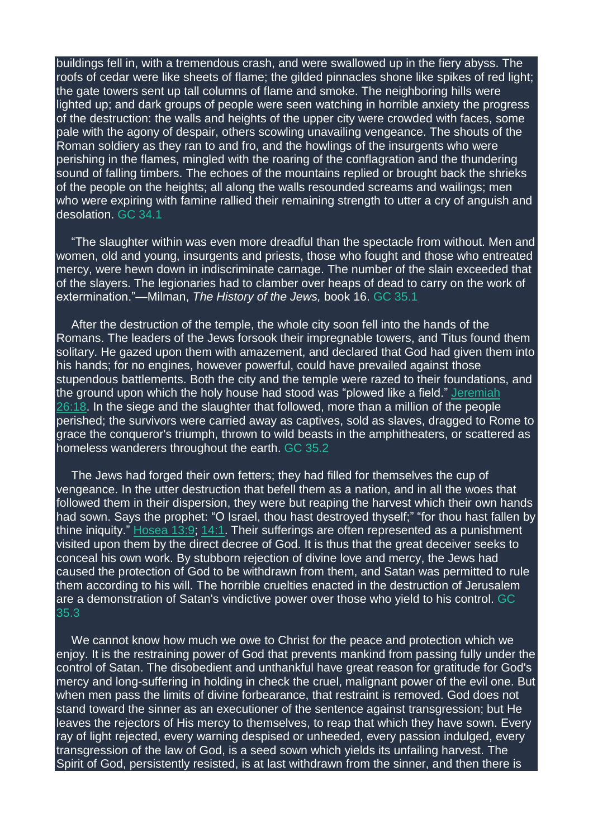buildings fell in, with a tremendous crash, and were swallowed up in the fiery abyss. The roofs of cedar were like sheets of flame; the gilded pinnacles shone like spikes of red light; the gate towers sent up tall columns of flame and smoke. The neighboring hills were lighted up; and dark groups of people were seen watching in horrible anxiety the progress of the destruction: the walls and heights of the upper city were crowded with faces, some pale with the agony of despair, others scowling unavailing vengeance. The shouts of the Roman soldiery as they ran to and fro, and the howlings of the insurgents who were perishing in the flames, mingled with the roaring of the conflagration and the thundering sound of falling timbers. The echoes of the mountains replied or brought back the shrieks of the people on the heights; all along the walls resounded screams and wailings; men who were expiring with famine rallied their remaining strength to utter a cry of anguish and desolation. GC 34.1

"The slaughter within was even more dreadful than the spectacle from without. Men and women, old and young, insurgents and priests, those who fought and those who entreated mercy, were hewn down in indiscriminate carnage. The number of the slain exceeded that of the slayers. The legionaries had to clamber over heaps of dead to carry on the work of extermination."—Milman, *The History of the Jews,* book 16. GC 35.1

After the destruction of the temple, the whole city soon fell into the hands of the Romans. The leaders of the Jews forsook their impregnable towers, and Titus found them solitary. He gazed upon them with amazement, and declared that God had given them into his hands; for no engines, however powerful, could have prevailed against those stupendous battlements. Both the city and the temple were razed to their foundations, and the ground upon which the holy house had stood was "plowed like a field." [Jeremiah](https://m.egwwritings.org/en/book/1965.39978#39978) [26:18.](https://m.egwwritings.org/en/book/1965.39978#39978) In the siege and the slaughter that followed, more than a million of the people perished; the survivors were carried away as captives, sold as slaves, dragged to Rome to grace the conqueror's triumph, thrown to wild beasts in the amphitheaters, or scattered as homeless wanderers throughout the earth. GC 35.2

The Jews had forged their own fetters; they had filled for themselves the cup of vengeance. In the utter destruction that befell them as a nation, and in all the woes that followed them in their dispersion, they were but reaping the harvest which their own hands had sown. Says the prophet: "O Israel, thou hast destroyed thyself;" "for thou hast fallen by thine iniquity."  $Hosea$  13:9; [14:1.](https://m.egwwritings.org/en/book/1965.45473#45473) Their sufferings are often represented as a punishment visited upon them by the direct decree of God. It is thus that the great deceiver seeks to conceal his own work. By stubborn rejection of divine love and mercy, the Jews had caused the protection of God to be withdrawn from them, and Satan was permitted to rule them according to his will. The horrible cruelties enacted in the destruction of Jerusalem are a demonstration of Satan's vindictive power over those who yield to his control. GC 35.3

We cannot know how much we owe to Christ for the peace and protection which we enjoy. It is the restraining power of God that prevents mankind from passing fully under the control of Satan. The disobedient and unthankful have great reason for gratitude for God's mercy and long-suffering in holding in check the cruel, malignant power of the evil one. But when men pass the limits of divine forbearance, that restraint is removed. God does not stand toward the sinner as an executioner of the sentence against transgression; but He leaves the rejectors of His mercy to themselves, to reap that which they have sown. Every ray of light rejected, every warning despised or unheeded, every passion indulged, every transgression of the law of God, is a seed sown which yields its unfailing harvest. The Spirit of God, persistently resisted, is at last withdrawn from the sinner, and then there is